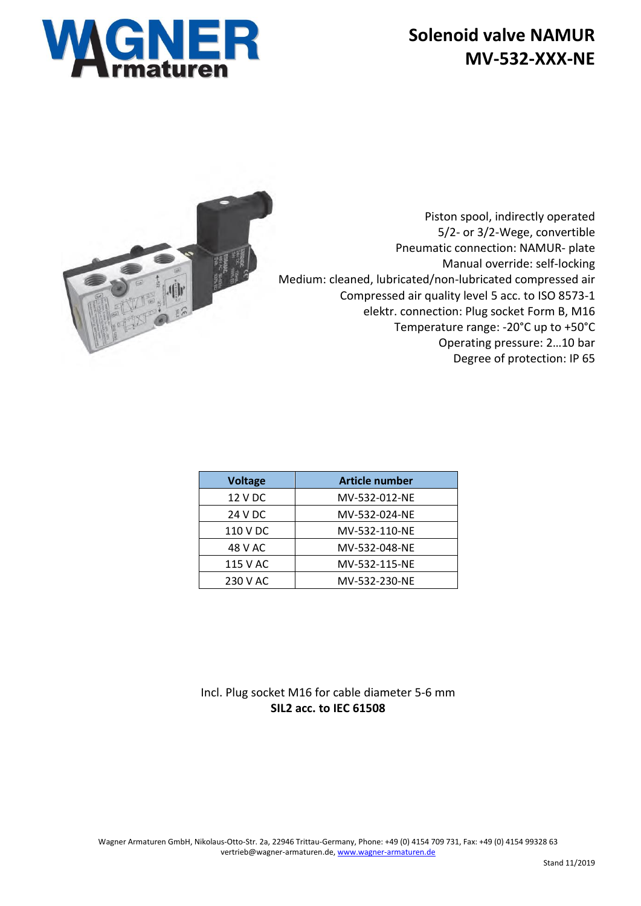

## **Solenoid valve NAMUR MV-532-XXX-NE**



Piston spool, indirectly operated 5/2- or 3/2-Wege, convertible Pneumatic connection: NAMUR- plate Manual override: self-locking Medium: cleaned, lubricated/non-lubricated compressed air Compressed air quality level 5 acc. to ISO 8573-1 elektr. connection: Plug socket Form B, M16 Temperature range: -20°C up to +50°C Operating pressure: 2…10 bar Degree of protection: IP 65

| <b>Voltage</b> | <b>Article number</b> |
|----------------|-----------------------|
| 12 V DC        | MV-532-012-NE         |
| 24 V DC        | MV-532-024-NE         |
| 110 V DC       | MV-532-110-NE         |
| 48 V AC        | MV-532-048-NE         |
| 115 V AC       | MV-532-115-NE         |
| 230 V AC       | MV-532-230-NE         |

Incl. Plug socket M16 for cable diameter 5-6 mm **SIL2 acc. to IEC 61508**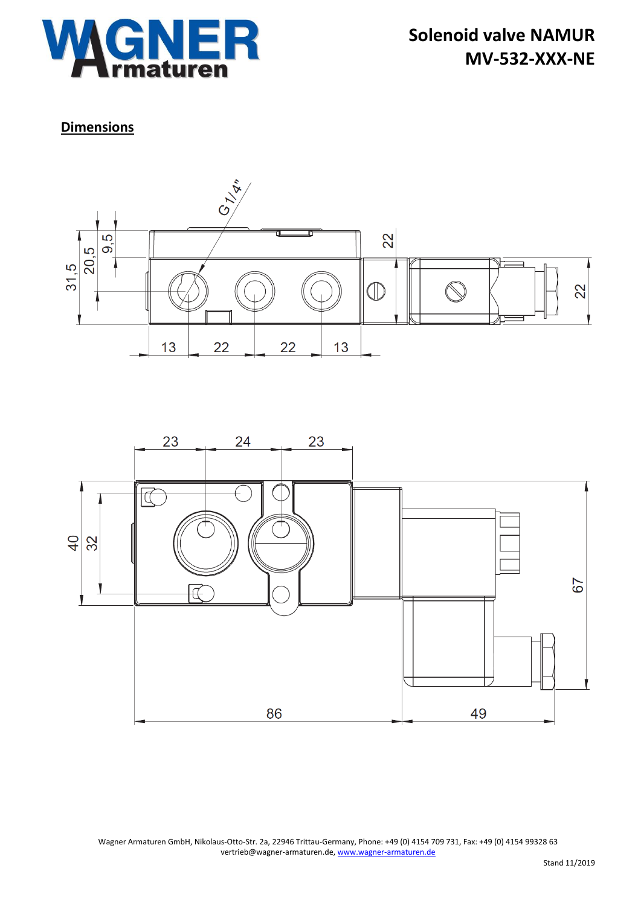

**Solenoid valve NAMUR MV-532-XXX-NE**

## **Dimensions**





Wagner Armaturen GmbH, Nikolaus-Otto-Str. 2a, 22946 Trittau-Germany, Phone: +49 (0) 4154 709 731, Fax: +49 (0) 4154 99328 63 vertrieb@wagner-armaturen.de[, www.wagner-armaturen.de](http://www.wagner-armaturen.de/)